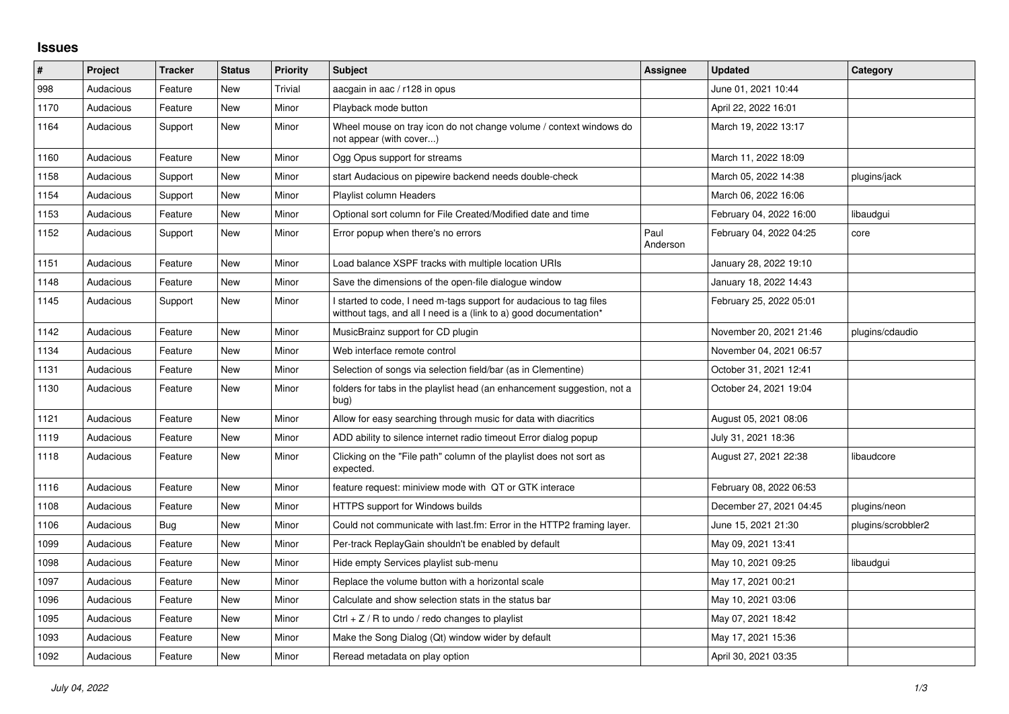## **Issues**

| #    | Project   | <b>Tracker</b> | <b>Status</b> | <b>Priority</b> | <b>Subject</b>                                                                                                                            | <b>Assignee</b>  | <b>Updated</b>          | Category           |
|------|-----------|----------------|---------------|-----------------|-------------------------------------------------------------------------------------------------------------------------------------------|------------------|-------------------------|--------------------|
| 998  | Audacious | Feature        | <b>New</b>    | Trivial         | aacgain in aac / r128 in opus                                                                                                             |                  | June 01, 2021 10:44     |                    |
| 1170 | Audacious | Feature        | <b>New</b>    | Minor           | Playback mode button                                                                                                                      |                  | April 22, 2022 16:01    |                    |
| 1164 | Audacious | Support        | New           | Minor           | Wheel mouse on tray icon do not change volume / context windows do<br>not appear (with cover)                                             |                  | March 19, 2022 13:17    |                    |
| 1160 | Audacious | Feature        | <b>New</b>    | Minor           | Ogg Opus support for streams                                                                                                              |                  | March 11, 2022 18:09    |                    |
| 1158 | Audacious | Support        | New           | Minor           | start Audacious on pipewire backend needs double-check                                                                                    |                  | March 05, 2022 14:38    | plugins/jack       |
| 1154 | Audacious | Support        | <b>New</b>    | Minor           | <b>Playlist column Headers</b>                                                                                                            |                  | March 06, 2022 16:06    |                    |
| 1153 | Audacious | Feature        | New           | Minor           | Optional sort column for File Created/Modified date and time                                                                              |                  | February 04, 2022 16:00 | libaudgui          |
| 1152 | Audacious | Support        | <b>New</b>    | Minor           | Error popup when there's no errors                                                                                                        | Paul<br>Anderson | February 04, 2022 04:25 | core               |
| 1151 | Audacious | Feature        | <b>New</b>    | Minor           | Load balance XSPF tracks with multiple location URIs                                                                                      |                  | January 28, 2022 19:10  |                    |
| 1148 | Audacious | Feature        | New           | Minor           | Save the dimensions of the open-file dialogue window                                                                                      |                  | January 18, 2022 14:43  |                    |
| 1145 | Audacious | Support        | <b>New</b>    | Minor           | I started to code, I need m-tags support for audacious to tag files<br>witthout tags, and all I need is a (link to a) good documentation* |                  | February 25, 2022 05:01 |                    |
| 1142 | Audacious | Feature        | New           | Minor           | MusicBrainz support for CD plugin                                                                                                         |                  | November 20, 2021 21:46 | plugins/cdaudio    |
| 1134 | Audacious | Feature        | New           | Minor           | Web interface remote control                                                                                                              |                  | November 04, 2021 06:57 |                    |
| 1131 | Audacious | Feature        | <b>New</b>    | Minor           | Selection of songs via selection field/bar (as in Clementine)                                                                             |                  | October 31, 2021 12:41  |                    |
| 1130 | Audacious | Feature        | New           | Minor           | folders for tabs in the playlist head (an enhancement suggestion, not a<br>bug)                                                           |                  | October 24, 2021 19:04  |                    |
| 1121 | Audacious | Feature        | New           | Minor           | Allow for easy searching through music for data with diacritics                                                                           |                  | August 05, 2021 08:06   |                    |
| 1119 | Audacious | Feature        | <b>New</b>    | Minor           | ADD ability to silence internet radio timeout Error dialog popup                                                                          |                  | July 31, 2021 18:36     |                    |
| 1118 | Audacious | Feature        | New           | Minor           | Clicking on the "File path" column of the playlist does not sort as<br>expected.                                                          |                  | August 27, 2021 22:38   | libaudcore         |
| 1116 | Audacious | Feature        | New           | Minor           | feature request: miniview mode with QT or GTK interace                                                                                    |                  | February 08, 2022 06:53 |                    |
| 1108 | Audacious | Feature        | New           | Minor           | HTTPS support for Windows builds                                                                                                          |                  | December 27, 2021 04:45 | plugins/neon       |
| 1106 | Audacious | <b>Bug</b>     | <b>New</b>    | Minor           | Could not communicate with last.fm: Error in the HTTP2 framing layer.                                                                     |                  | June 15, 2021 21:30     | plugins/scrobbler2 |
| 1099 | Audacious | Feature        | <b>New</b>    | Minor           | Per-track ReplayGain shouldn't be enabled by default                                                                                      |                  | May 09, 2021 13:41      |                    |
| 1098 | Audacious | Feature        | New           | Minor           | Hide empty Services playlist sub-menu                                                                                                     |                  | May 10, 2021 09:25      | libaudgui          |
| 1097 | Audacious | Feature        | <b>New</b>    | Minor           | Replace the volume button with a horizontal scale                                                                                         |                  | May 17, 2021 00:21      |                    |
| 1096 | Audacious | Feature        | New           | Minor           | Calculate and show selection stats in the status bar                                                                                      |                  | May 10, 2021 03:06      |                    |
| 1095 | Audacious | Feature        | <b>New</b>    | Minor           | Ctrl $+$ Z / R to undo / redo changes to playlist                                                                                         |                  | May 07, 2021 18:42      |                    |
| 1093 | Audacious | Feature        | <b>New</b>    | Minor           | Make the Song Dialog (Qt) window wider by default                                                                                         |                  | May 17, 2021 15:36      |                    |
| 1092 | Audacious | Feature        | New           | Minor           | Reread metadata on play option                                                                                                            |                  | April 30, 2021 03:35    |                    |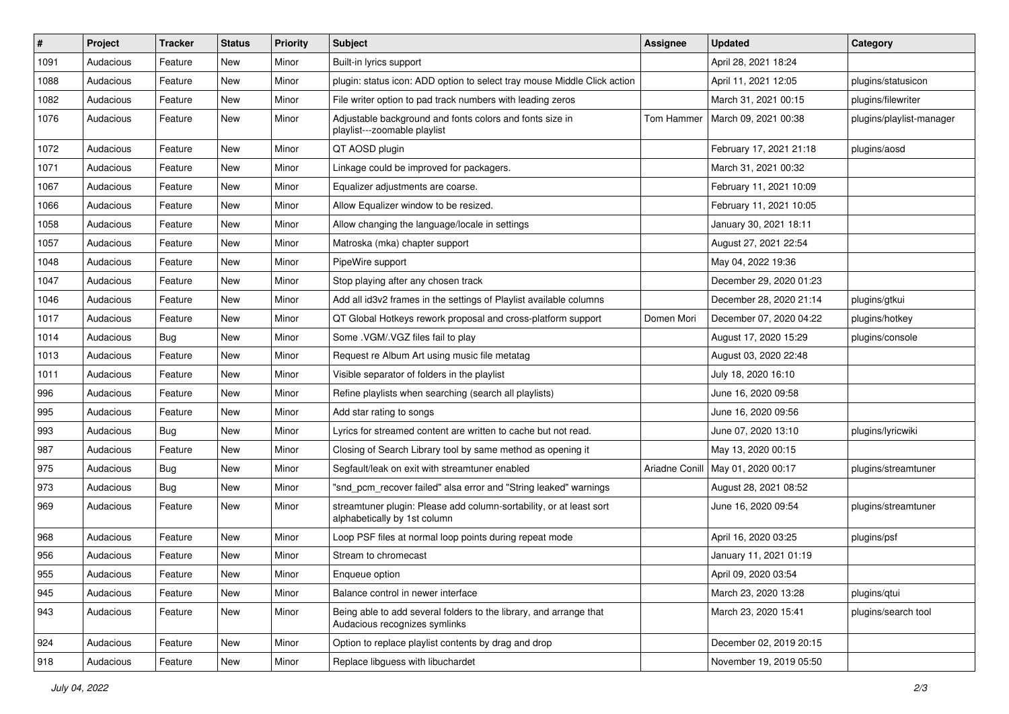| $\#$ | Project   | <b>Tracker</b> | <b>Status</b> | <b>Priority</b> | Subject                                                                                             | <b>Assignee</b> | <b>Updated</b>          | Category                 |
|------|-----------|----------------|---------------|-----------------|-----------------------------------------------------------------------------------------------------|-----------------|-------------------------|--------------------------|
| 1091 | Audacious | Feature        | New           | Minor           | Built-in lyrics support                                                                             |                 | April 28, 2021 18:24    |                          |
| 1088 | Audacious | Feature        | New           | Minor           | plugin: status icon: ADD option to select tray mouse Middle Click action                            |                 | April 11, 2021 12:05    | plugins/statusicon       |
| 1082 | Audacious | Feature        | New           | Minor           | File writer option to pad track numbers with leading zeros                                          |                 | March 31, 2021 00:15    | plugins/filewriter       |
| 1076 | Audacious | Feature        | New           | Minor           | Adjustable background and fonts colors and fonts size in<br>playlist---zoomable playlist            | Tom Hammer      | March 09, 2021 00:38    | plugins/playlist-manager |
| 1072 | Audacious | Feature        | New           | Minor           | QT AOSD plugin                                                                                      |                 | February 17, 2021 21:18 | plugins/aosd             |
| 1071 | Audacious | Feature        | New           | Minor           | Linkage could be improved for packagers.                                                            |                 | March 31, 2021 00:32    |                          |
| 1067 | Audacious | Feature        | New           | Minor           | Equalizer adjustments are coarse.                                                                   |                 | February 11, 2021 10:09 |                          |
| 1066 | Audacious | Feature        | New           | Minor           | Allow Equalizer window to be resized.                                                               |                 | February 11, 2021 10:05 |                          |
| 1058 | Audacious | Feature        | New           | Minor           | Allow changing the language/locale in settings                                                      |                 | January 30, 2021 18:11  |                          |
| 1057 | Audacious | Feature        | New           | Minor           | Matroska (mka) chapter support                                                                      |                 | August 27, 2021 22:54   |                          |
| 1048 | Audacious | Feature        | New           | Minor           | PipeWire support                                                                                    |                 | May 04, 2022 19:36      |                          |
| 1047 | Audacious | Feature        | New           | Minor           | Stop playing after any chosen track                                                                 |                 | December 29, 2020 01:23 |                          |
| 1046 | Audacious | Feature        | New           | Minor           | Add all id3v2 frames in the settings of Playlist available columns                                  |                 | December 28, 2020 21:14 | plugins/gtkui            |
| 1017 | Audacious | Feature        | New           | Minor           | QT Global Hotkeys rework proposal and cross-platform support                                        | Domen Mori      | December 07, 2020 04:22 | plugins/hotkey           |
| 1014 | Audacious | Bug            | New           | Minor           | Some .VGM/.VGZ files fail to play                                                                   |                 | August 17, 2020 15:29   | plugins/console          |
| 1013 | Audacious | Feature        | New           | Minor           | Request re Album Art using music file metatag                                                       |                 | August 03, 2020 22:48   |                          |
| 1011 | Audacious | Feature        | New           | Minor           | Visible separator of folders in the playlist                                                        |                 | July 18, 2020 16:10     |                          |
| 996  | Audacious | Feature        | New           | Minor           | Refine playlists when searching (search all playlists)                                              |                 | June 16, 2020 09:58     |                          |
| 995  | Audacious | Feature        | New           | Minor           | Add star rating to songs                                                                            |                 | June 16, 2020 09:56     |                          |
| 993  | Audacious | Bug            | New           | Minor           | Lyrics for streamed content are written to cache but not read.                                      |                 | June 07, 2020 13:10     | plugins/lyricwiki        |
| 987  | Audacious | Feature        | New           | Minor           | Closing of Search Library tool by same method as opening it                                         |                 | May 13, 2020 00:15      |                          |
| 975  | Audacious | Bug            | New           | Minor           | Segfault/leak on exit with streamtuner enabled                                                      | Ariadne Conill  | May 01, 2020 00:17      | plugins/streamtuner      |
| 973  | Audacious | Bug            | New           | Minor           | "snd_pcm_recover failed" alsa error and "String leaked" warnings                                    |                 | August 28, 2021 08:52   |                          |
| 969  | Audacious | Feature        | New           | Minor           | streamtuner plugin: Please add column-sortability, or at least sort<br>alphabetically by 1st column |                 | June 16, 2020 09:54     | plugins/streamtuner      |
| 968  | Audacious | Feature        | New           | Minor           | Loop PSF files at normal loop points during repeat mode                                             |                 | April 16, 2020 03:25    | plugins/psf              |
| 956  | Audacious | Feature        | New           | Minor           | Stream to chromecast                                                                                |                 | January 11, 2021 01:19  |                          |
| 955  | Audacious | Feature        | New           | Minor           | Enqueue option                                                                                      |                 | April 09, 2020 03:54    |                          |
| 945  | Audacious | Feature        | New           | Minor           | Balance control in newer interface                                                                  |                 | March 23, 2020 13:28    | plugins/qtui             |
| 943  | Audacious | Feature        | New           | Minor           | Being able to add several folders to the library, and arrange that<br>Audacious recognizes symlinks |                 | March 23, 2020 15:41    | plugins/search tool      |
| 924  | Audacious | Feature        | New           | Minor           | Option to replace playlist contents by drag and drop                                                |                 | December 02, 2019 20:15 |                          |
| 918  | Audacious | Feature        | New           | Minor           | Replace libguess with libuchardet                                                                   |                 | November 19, 2019 05:50 |                          |